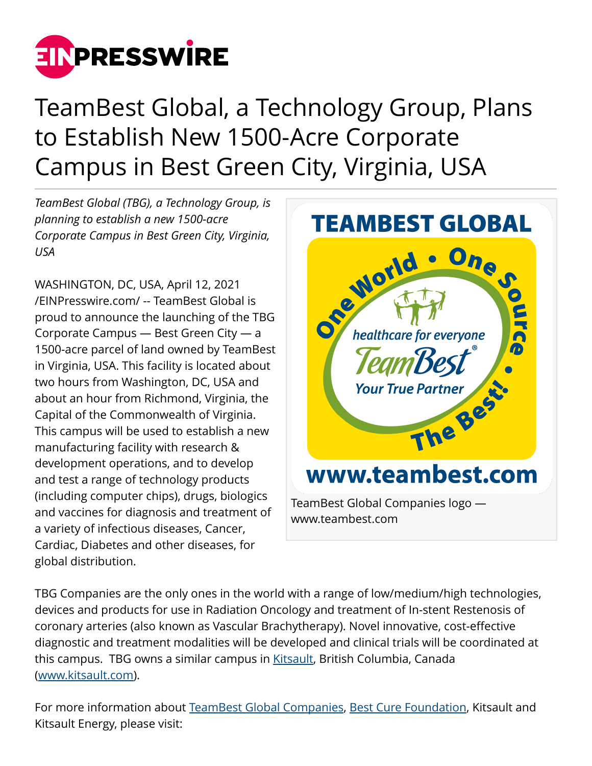

## TeamBest Global, a Technology Group, Plans to Establish New 1500-Acre Corporate Campus in Best Green City, Virginia, USA

*TeamBest Global (TBG), a Technology Group, is planning to establish a new 1500-acre Corporate Campus in Best Green City, Virginia, USA*

WASHINGTON, DC, USA, April 12, 2021 [/EINPresswire.com/](http://www.einpresswire.com) -- TeamBest Global is proud to announce the launching of the TBG Corporate Campus — Best Green City — a 1500-acre parcel of land owned by TeamBest in Virginia, USA. This facility is located about two hours from Washington, DC, USA and about an hour from Richmond, Virginia, the Capital of the Commonwealth of Virginia. This campus will be used to establish a new manufacturing facility with research & development operations, and to develop and test a range of technology products (including computer chips), drugs, biologics and vaccines for diagnosis and treatment of a variety of infectious diseases, Cancer, Cardiac, Diabetes and other diseases, for global distribution.



TBG Companies are the only ones in the world with a range of low/medium/high technologies, devices and products for use in Radiation Oncology and treatment of In-stent Restenosis of coronary arteries (also known as Vascular Brachytherapy). Novel innovative, cost-effective diagnostic and treatment modalities will be developed and clinical trials will be coordinated at this campus. TBG owns a similar campus in [Kitsault](http://www.kitsault.com), British Columbia, Canada ([www.kitsault.com](http://www.kitsault.com)).

For more information about [TeamBest Global Companies,](http://www.teambest.com) [Best Cure Foundation,](http://www.bestcure.md) Kitsault and Kitsault Energy, please visit: